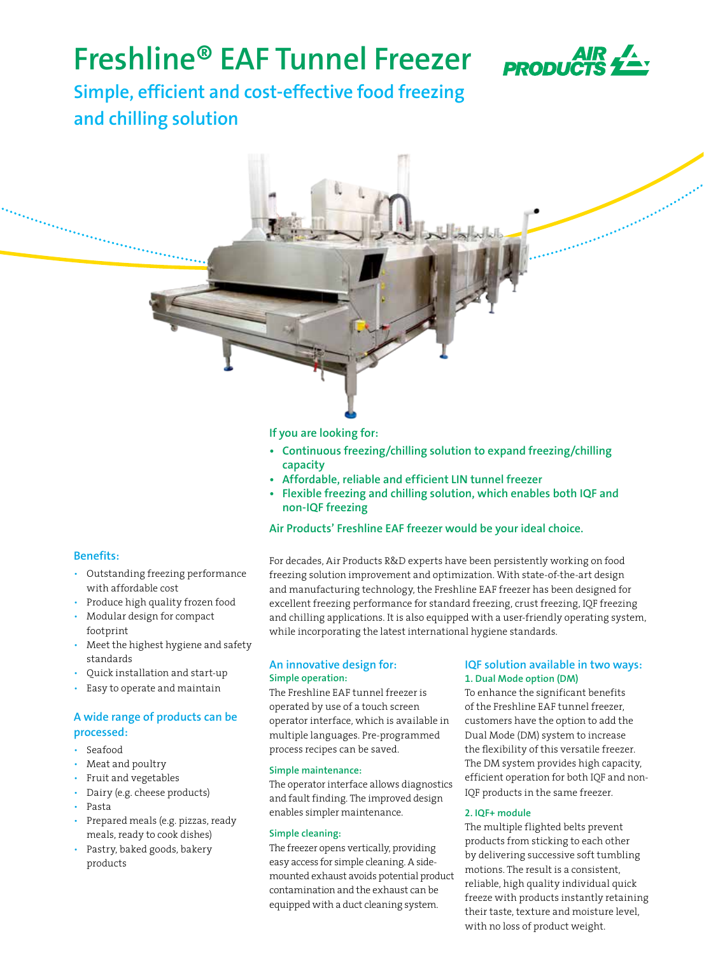# **Freshline® EAF Tunnel Freezer**



**Simple, efficient and cost-effective food freezing and chilling solution**

### **If you are looking for:**

- **Continuous freezing/chilling solution to expand freezing/chilling capacity**
- **• Affordable, reliable and efficient LIN tunnel freezer**
- **• Flexible freezing and chilling solution, which enables both IQF and non-IQF freezing**

### **Air Products' Freshline EAF freezer would be your ideal choice.**

### **Benefits:**

- Outstanding freezing performance with affordable cost
- Produce high quality frozen food
- Modular design for compact footprint
- Meet the highest hygiene and safety standards
- Quick installation and start-up
- Easy to operate and maintain

### **A wide range of products can be processed:**

- Seafood
- Meat and poultry
- Fruit and vegetables
- Dairy (e.g. cheese products)
- Pasta
- Prepared meals (e.g. pizzas, ready meals, ready to cook dishes)
- Pastry, baked goods, bakery products

For decades, Air Products R&D experts have been persistently working on food freezing solution improvement and optimization. With state-of-the-art design and manufacturing technology, the Freshline EAF freezer has been designed for excellent freezing performance for standard freezing, crust freezing, IQF freezing and chilling applications. It is also equipped with a user-friendly operating system, while incorporating the latest international hygiene standards.

### **An innovative design for: Simple operation:**

The Freshline EAF tunnel freezer is operated by use of a touch screen operator interface, which is available in multiple languages. Pre-programmed process recipes can be saved.

### **Simple maintenance:**

The operator interface allows diagnostics and fault finding. The improved design enables simpler maintenance.

### **Simple cleaning:**

The freezer opens vertically, providing easy access for simple cleaning. A sidemounted exhaust avoids potential product contamination and the exhaust can be equipped with a duct cleaning system.

### **IQF solution available in two ways: 1. Dual Mode option (DM)**

To enhance the significant benefits of the Freshline EAF tunnel freezer, customers have the option to add the Dual Mode (DM) system to increase the flexibility of this versatile freezer. The DM system provides high capacity, efficient operation for both IQF and non-IQF products in the same freezer.

### **2. IQF+ module**

The multiple flighted belts prevent products from sticking to each other by delivering successive soft tumbling motions. The result is a consistent, reliable, high quality individual quick freeze with products instantly retaining their taste, texture and moisture level, with no loss of product weight.